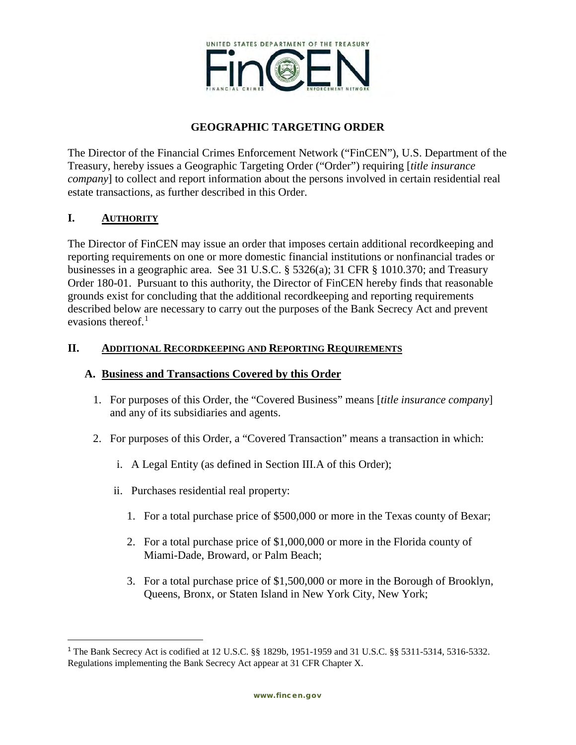

# **GEOGRAPHIC TARGETING ORDER**

The Director of the Financial Crimes Enforcement Network ("FinCEN"), U.S. Department of the Treasury, hereby issues a Geographic Targeting Order ("Order") requiring [*title insurance company*] to collect and report information about the persons involved in certain residential real estate transactions, as further described in this Order.

### **I. AUTHORITY**

 $\overline{\phantom{a}}$ 

The Director of FinCEN may issue an order that imposes certain additional recordkeeping and reporting requirements on one or more domestic financial institutions or nonfinancial trades or businesses in a geographic area. See 31 U.S.C. § 5326(a); 31 CFR § 1010.370; and Treasury Order 180-01. Pursuant to this authority, the Director of FinCEN hereby finds that reasonable grounds exist for concluding that the additional recordkeeping and reporting requirements described below are necessary to carry out the purposes of the Bank Secrecy Act and prevent evasions thereof. $1$ 

### **II. ADDITIONAL RECORDKEEPING AND REPORTING REQUIREMENTS**

### **A. Business and Transactions Covered by this Order**

- 1. For purposes of this Order, the "Covered Business" means [*title insurance company*] and any of its subsidiaries and agents.
- 2. For purposes of this Order, a "Covered Transaction" means a transaction in which:
	- i. A Legal Entity (as defined in Section III.A of this Order);
	- ii. Purchases residential real property:
		- 1. For a total purchase price of \$500,000 or more in the Texas county of Bexar;
		- 2. For a total purchase price of \$1,000,000 or more in the Florida county of Miami-Dade, Broward, or Palm Beach;
		- 3. For a total purchase price of \$1,500,000 or more in the Borough of Brooklyn, Queens, Bronx, or Staten Island in New York City, New York;

<span id="page-0-0"></span><sup>1</sup> The Bank Secrecy Act is codified at 12 U.S.C. §§ 1829b, 1951-1959 and 31 U.S.C. §§ 5311-5314, 5316-5332. Regulations implementing the Bank Secrecy Act appear at 31 CFR Chapter X.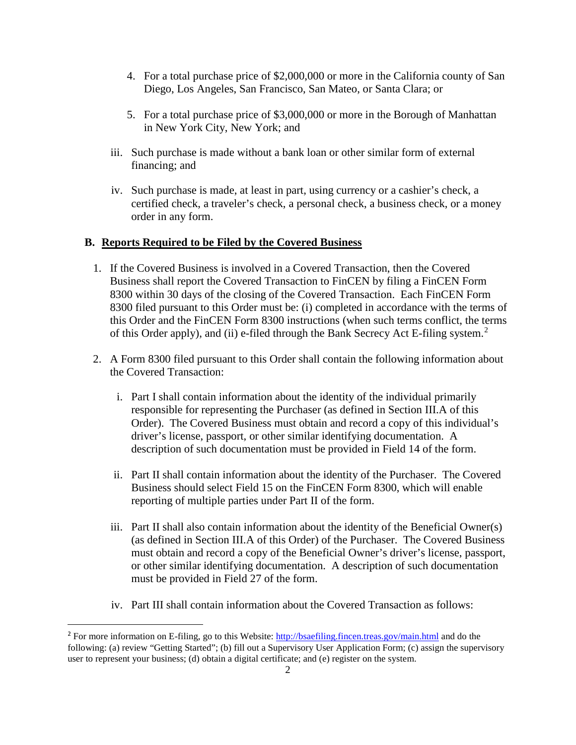- 4. For a total purchase price of \$2,000,000 or more in the California county of San Diego, Los Angeles, San Francisco, San Mateo, or Santa Clara; or
- 5. For a total purchase price of \$3,000,000 or more in the Borough of Manhattan in New York City, New York; and
- iii. Such purchase is made without a bank loan or other similar form of external financing; and
- iv. Such purchase is made, at least in part, using currency or a cashier's check, a certified check, a traveler's check, a personal check, a business check, or a money order in any form.

#### **B. Reports Required to be Filed by the Covered Business**

- 1. If the Covered Business is involved in a Covered Transaction, then the Covered Business shall report the Covered Transaction to FinCEN by filing a FinCEN Form 8300 within 30 days of the closing of the Covered Transaction. Each FinCEN Form 8300 filed pursuant to this Order must be: (i) completed in accordance with the terms of this Order and the FinCEN Form 8300 instructions (when such terms conflict, the terms of this Order apply), and (ii) e-filed through the Bank Secrecy Act E-filing system.[2](#page-1-0)
- 2. A Form 8300 filed pursuant to this Order shall contain the following information about the Covered Transaction:
	- i. Part I shall contain information about the identity of the individual primarily responsible for representing the Purchaser (as defined in Section III.A of this Order). The Covered Business must obtain and record a copy of this individual's driver's license, passport, or other similar identifying documentation. A description of such documentation must be provided in Field 14 of the form.
	- ii. Part II shall contain information about the identity of the Purchaser. The Covered Business should select Field 15 on the FinCEN Form 8300, which will enable reporting of multiple parties under Part II of the form.
	- iii. Part II shall also contain information about the identity of the Beneficial Owner(s) (as defined in Section III.A of this Order) of the Purchaser. The Covered Business must obtain and record a copy of the Beneficial Owner's driver's license, passport, or other similar identifying documentation. A description of such documentation must be provided in Field 27 of the form.
	- iv. Part III shall contain information about the Covered Transaction as follows:

l

<span id="page-1-0"></span><sup>&</sup>lt;sup>2</sup> For more information on E-filing, go to this Website:<http://bsaefiling.fincen.treas.gov/main.html> and do the following: (a) review "Getting Started"; (b) fill out a Supervisory User Application Form; (c) assign the supervisory user to represent your business; (d) obtain a digital certificate; and (e) register on the system.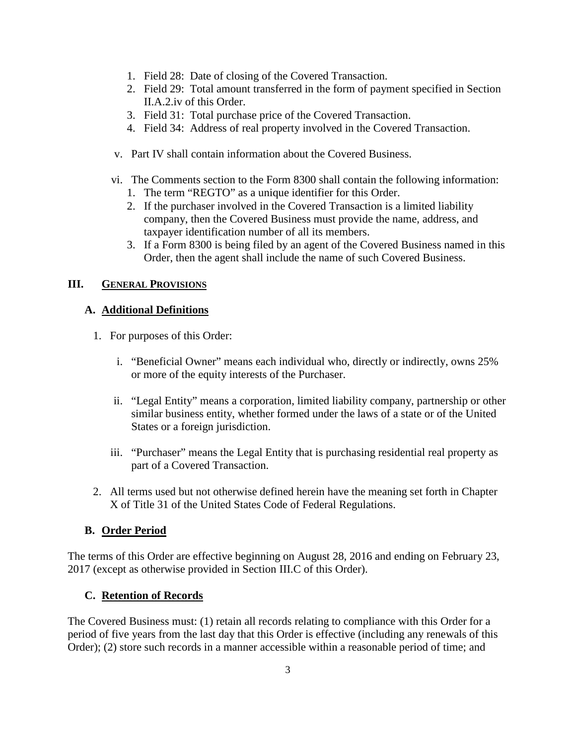- 1. Field 28: Date of closing of the Covered Transaction.
- 2. Field 29: Total amount transferred in the form of payment specified in Section II.A.2.iv of this Order.
- 3. Field 31: Total purchase price of the Covered Transaction.
- 4. Field 34: Address of real property involved in the Covered Transaction.
- v. Part IV shall contain information about the Covered Business.
- vi. The Comments section to the Form 8300 shall contain the following information:
	- 1. The term "REGTO" as a unique identifier for this Order.
	- 2. If the purchaser involved in the Covered Transaction is a limited liability company, then the Covered Business must provide the name, address, and taxpayer identification number of all its members.
	- 3. If a Form 8300 is being filed by an agent of the Covered Business named in this Order, then the agent shall include the name of such Covered Business.

### **III. GENERAL PROVISIONS**

### **A. Additional Definitions**

- 1. For purposes of this Order:
	- i. "Beneficial Owner" means each individual who, directly or indirectly, owns 25% or more of the equity interests of the Purchaser.
	- ii. "Legal Entity" means a corporation, limited liability company, partnership or other similar business entity, whether formed under the laws of a state or of the United States or a foreign jurisdiction.
	- iii. "Purchaser" means the Legal Entity that is purchasing residential real property as part of a Covered Transaction.
- 2. All terms used but not otherwise defined herein have the meaning set forth in Chapter X of Title 31 of the United States Code of Federal Regulations.

### **B. Order Period**

The terms of this Order are effective beginning on August 28, 2016 and ending on February 23, 2017 (except as otherwise provided in Section III.C of this Order).

#### **C. Retention of Records**

The Covered Business must: (1) retain all records relating to compliance with this Order for a period of five years from the last day that this Order is effective (including any renewals of this Order); (2) store such records in a manner accessible within a reasonable period of time; and